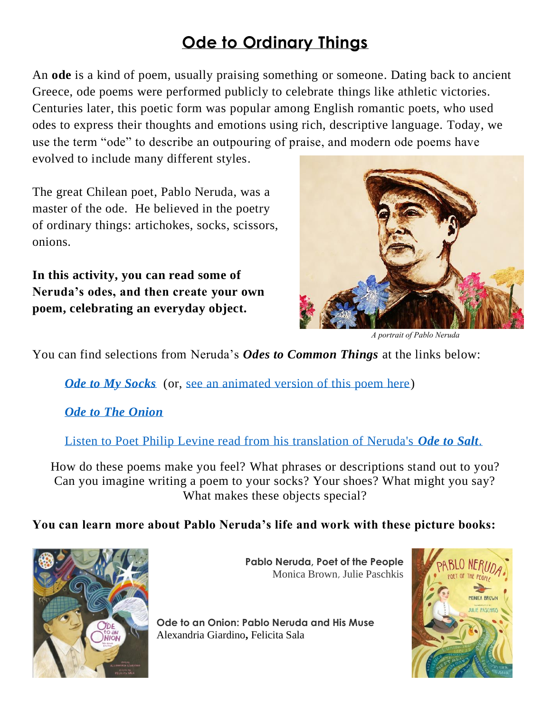## **Ode to Ordinary Things**

An **ode** is a kind of poem, usually praising something or someone. Dating back to ancient Greece, ode poems were performed publicly to celebrate things like athletic victories. Centuries later, this poetic form was popular among English romantic poets, who used odes to express their thoughts and emotions using rich, descriptive language. Today, we use the term "ode" to describe an outpouring of praise, and modern ode poems have

evolved to include many different styles.

The great Chilean poet, Pablo Neruda, was a master of the ode. He believed in the poetry of ordinary things: artichokes, socks, scissors, onions.

**In this activity, you can read some of Neruda's odes, and then create your own poem, celebrating an everyday object.**



*A portrait of Pablo Neruda*

You can find selections from Neruda's *Odes to Common Things* at the links below:

*Ode to My Socks* (or, [see an animated version of this poem here\)](https://www.youtube.com/watch?v=1GOkypeafdM)

*[Ode to The](http://famouspoetsandpoems.com/poets/pablo_neruda/poems/15730) Onion*

[Listen to Poet Philip Levine read from his translation of Neruda's](https://www.npr.org/templates/story/story.php?storyId=5038243) *Ode to Salt*.

How do these poems make you feel? What phrases or descriptions stand out to you? Can you imagine writing a poem to your socks? Your shoes? What might you say? What makes these objects special?

**You can learn more about Pablo Neruda's life and work with these picture books:**



**Pablo Neruda, Poet of the People**  Monica Brown, Julie Paschkis

**Ode to an Onion: Pablo Neruda and His Muse** Alexandria Giardino**,** Felicita Sala